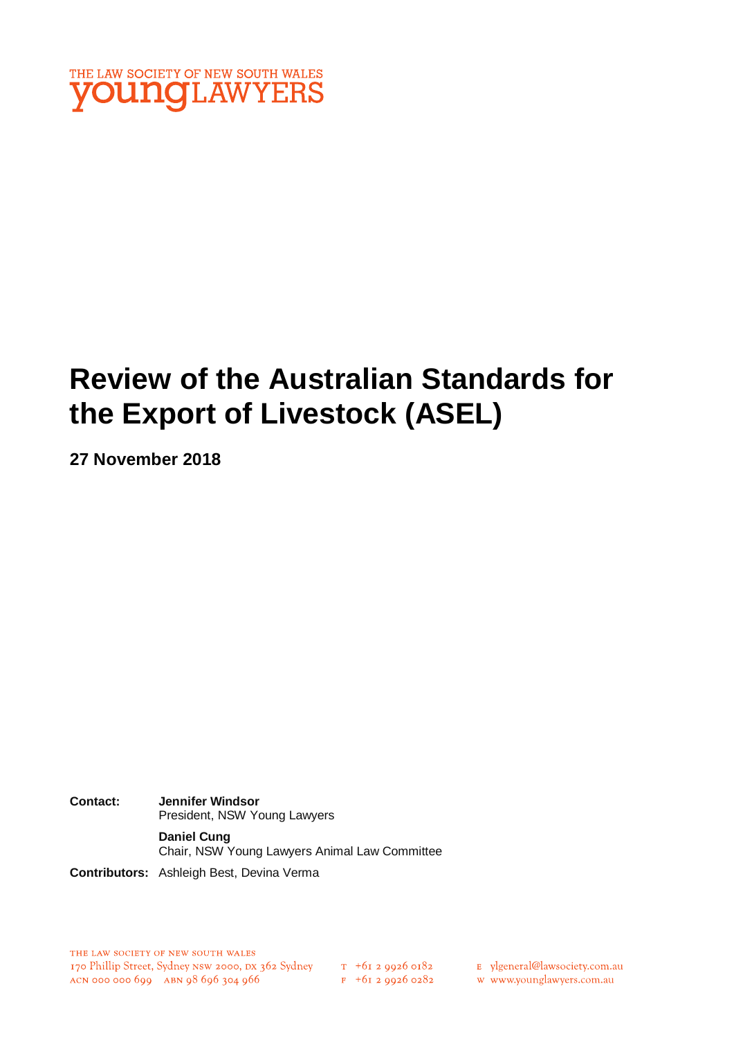

# **Review of the Australian Standards for the Export of Livestock (ASEL)**

**27 November 2018**

**Contact: Jennifer Windsor** President, NSW Young Lawyers **Daniel Cung** Chair, NSW Young Lawyers Animal Law Committee

**Contributors:** Ashleigh Best, Devina Verma

 $F + 6I$  2 9926 0282

E ylgeneral@lawsociety.com.au

w www.younglawyers.com.au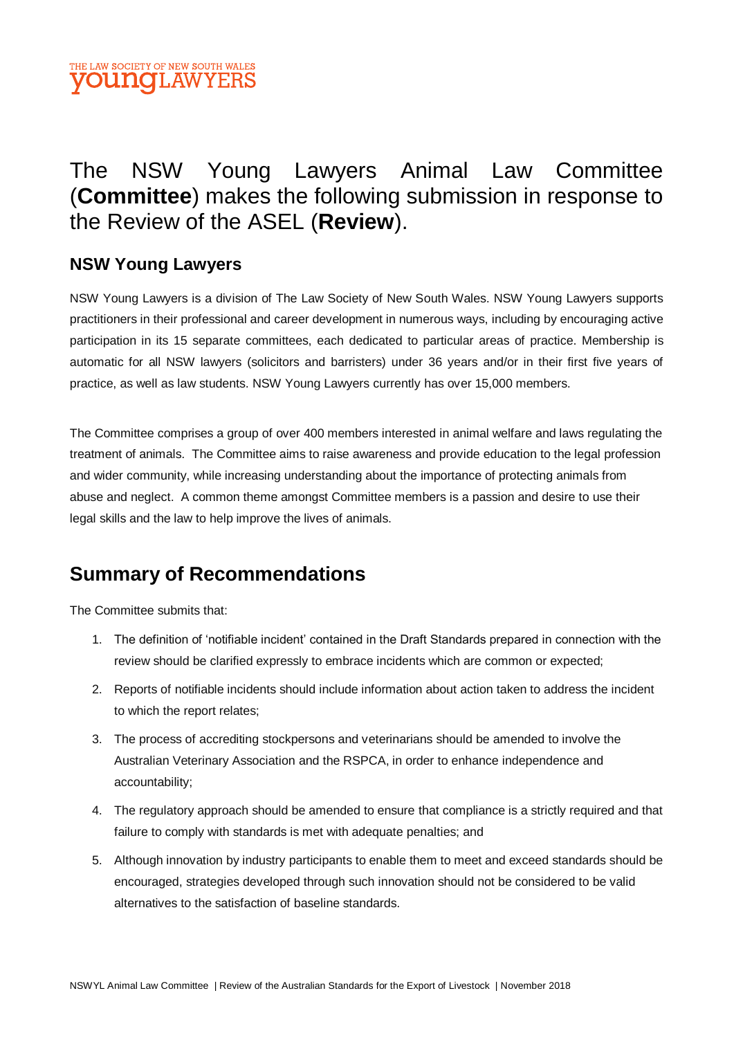

# The NSW Young Lawyers Animal Law Committee (**Committee**) makes the following submission in response to the Review of the ASEL (**Review**).

#### **NSW Young Lawyers**

NSW Young Lawyers is a division of The Law Society of New South Wales. NSW Young Lawyers supports practitioners in their professional and career development in numerous ways, including by encouraging active participation in its 15 separate committees, each dedicated to particular areas of practice. Membership is automatic for all NSW lawyers (solicitors and barristers) under 36 years and/or in their first five years of practice, as well as law students. NSW Young Lawyers currently has over 15,000 members.

The Committee comprises a group of over 400 members interested in animal welfare and laws regulating the treatment of animals. The Committee aims to raise awareness and provide education to the legal profession and wider community, while increasing understanding about the importance of protecting animals from abuse and neglect. A common theme amongst Committee members is a passion and desire to use their legal skills and the law to help improve the lives of animals.

## **Summary of Recommendations**

The Committee submits that:

- 1. The definition of 'notifiable incident' contained in the Draft Standards prepared in connection with the review should be clarified expressly to embrace incidents which are common or expected;
- 2. Reports of notifiable incidents should include information about action taken to address the incident to which the report relates;
- 3. The process of accrediting stockpersons and veterinarians should be amended to involve the Australian Veterinary Association and the RSPCA, in order to enhance independence and accountability;
- 4. The regulatory approach should be amended to ensure that compliance is a strictly required and that failure to comply with standards is met with adequate penalties; and
- 5. Although innovation by industry participants to enable them to meet and exceed standards should be encouraged, strategies developed through such innovation should not be considered to be valid alternatives to the satisfaction of baseline standards.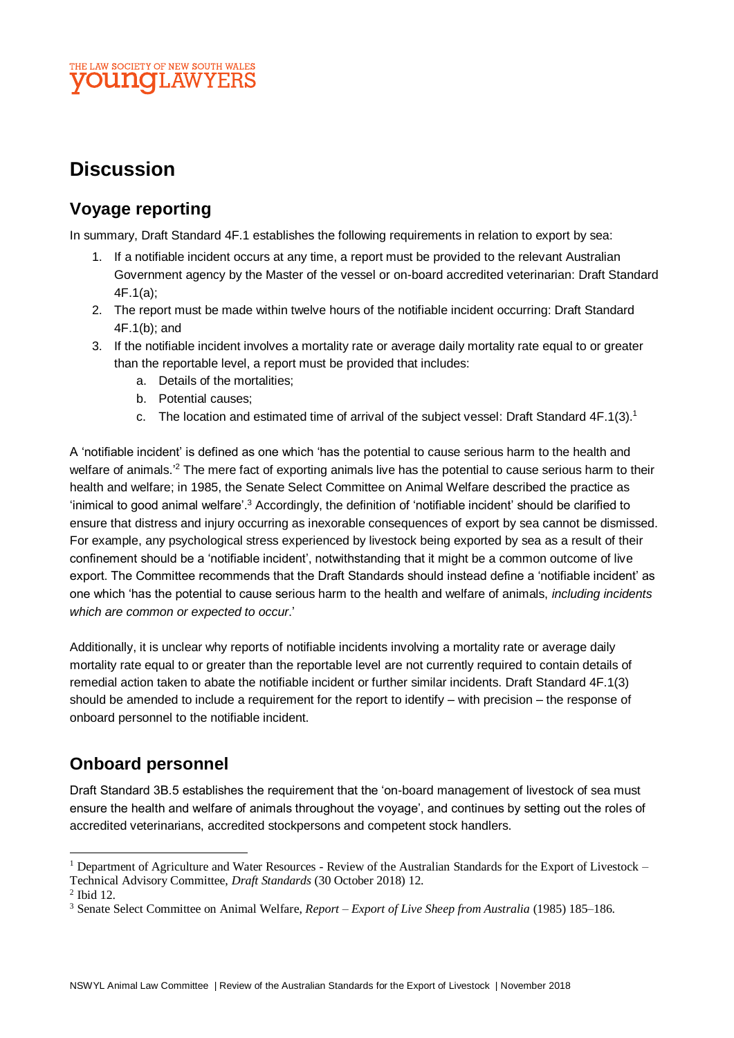#### THE LAW SOCIETY OF NEW SOUTH WALES **OUNCLAWYERS**

## **Discussion**

### **Voyage reporting**

In summary, Draft Standard 4F.1 establishes the following requirements in relation to export by sea:

- 1. If a notifiable incident occurs at any time, a report must be provided to the relevant Australian Government agency by the Master of the vessel or on-board accredited veterinarian: Draft Standard 4F.1(a);
- 2. The report must be made within twelve hours of the notifiable incident occurring: Draft Standard 4F.1(b); and
- 3. If the notifiable incident involves a mortality rate or average daily mortality rate equal to or greater than the reportable level, a report must be provided that includes:
	- a. Details of the mortalities;
	- b. Potential causes;
	- c. The location and estimated time of arrival of the subject vessel: Draft Standard  $4F.1(3).<sup>1</sup>$

A 'notifiable incident' is defined as one which 'has the potential to cause serious harm to the health and welfare of animals.<sup>'2</sup> The mere fact of exporting animals live has the potential to cause serious harm to their health and welfare; in 1985, the Senate Select Committee on Animal Welfare described the practice as 'inimical to good animal welfare'.<sup>3</sup> Accordingly, the definition of 'notifiable incident' should be clarified to ensure that distress and injury occurring as inexorable consequences of export by sea cannot be dismissed. For example, any psychological stress experienced by livestock being exported by sea as a result of their confinement should be a 'notifiable incident', notwithstanding that it might be a common outcome of live export. The Committee recommends that the Draft Standards should instead define a 'notifiable incident' as one which 'has the potential to cause serious harm to the health and welfare of animals, *including incidents which are common or expected to occur*.'

Additionally, it is unclear why reports of notifiable incidents involving a mortality rate or average daily mortality rate equal to or greater than the reportable level are not currently required to contain details of remedial action taken to abate the notifiable incident or further similar incidents. Draft Standard 4F.1(3) should be amended to include a requirement for the report to identify – with precision – the response of onboard personnel to the notifiable incident.

## **Onboard personnel**

Draft Standard 3B.5 establishes the requirement that the 'on-board management of livestock of sea must ensure the health and welfare of animals throughout the voyage', and continues by setting out the roles of accredited veterinarians, accredited stockpersons and competent stock handlers.

l

<sup>1</sup> Department of Agriculture and Water Resources - Review of the Australian Standards for the Export of Livestock –

Technical Advisory Committee, *Draft Standards* (30 October 2018) 12.

<sup>2</sup> Ibid 12.

<sup>3</sup> Senate Select Committee on Animal Welfare, *Report – Export of Live Sheep from Australia* (1985) 185–186.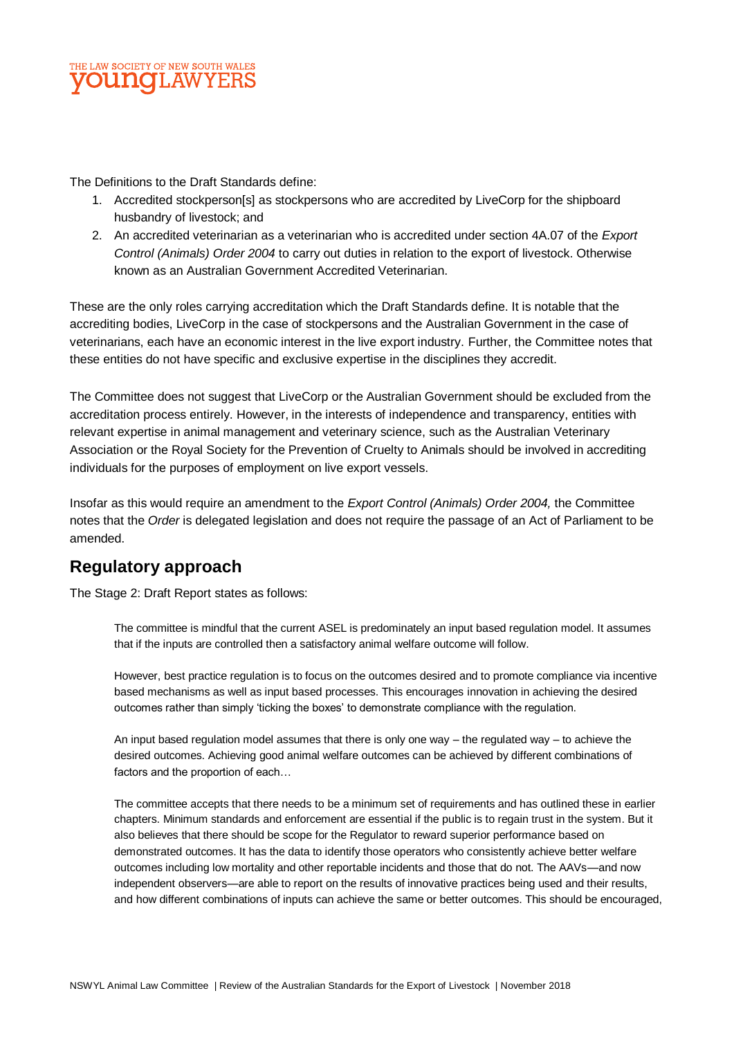

The Definitions to the Draft Standards define:

- 1. Accredited stockperson[s] as stockpersons who are accredited by LiveCorp for the shipboard husbandry of livestock; and
- 2. An accredited veterinarian as a veterinarian who is accredited under section 4A.07 of the *Export Control (Animals) Order 2004* to carry out duties in relation to the export of livestock. Otherwise known as an Australian Government Accredited Veterinarian.

These are the only roles carrying accreditation which the Draft Standards define. It is notable that the accrediting bodies, LiveCorp in the case of stockpersons and the Australian Government in the case of veterinarians, each have an economic interest in the live export industry. Further, the Committee notes that these entities do not have specific and exclusive expertise in the disciplines they accredit.

The Committee does not suggest that LiveCorp or the Australian Government should be excluded from the accreditation process entirely. However, in the interests of independence and transparency, entities with relevant expertise in animal management and veterinary science, such as the Australian Veterinary Association or the Royal Society for the Prevention of Cruelty to Animals should be involved in accrediting individuals for the purposes of employment on live export vessels.

Insofar as this would require an amendment to the *Export Control (Animals) Order 2004,* the Committee notes that the *Order* is delegated legislation and does not require the passage of an Act of Parliament to be amended.

#### **Regulatory approach**

The Stage 2: Draft Report states as follows:

The committee is mindful that the current ASEL is predominately an input based regulation model. It assumes that if the inputs are controlled then a satisfactory animal welfare outcome will follow.

However, best practice regulation is to focus on the outcomes desired and to promote compliance via incentive based mechanisms as well as input based processes. This encourages innovation in achieving the desired outcomes rather than simply 'ticking the boxes' to demonstrate compliance with the regulation.

An input based regulation model assumes that there is only one way – the regulated way – to achieve the desired outcomes. Achieving good animal welfare outcomes can be achieved by different combinations of factors and the proportion of each…

The committee accepts that there needs to be a minimum set of requirements and has outlined these in earlier chapters. Minimum standards and enforcement are essential if the public is to regain trust in the system. But it also believes that there should be scope for the Regulator to reward superior performance based on demonstrated outcomes. It has the data to identify those operators who consistently achieve better welfare outcomes including low mortality and other reportable incidents and those that do not. The AAVs—and now independent observers—are able to report on the results of innovative practices being used and their results, and how different combinations of inputs can achieve the same or better outcomes. This should be encouraged,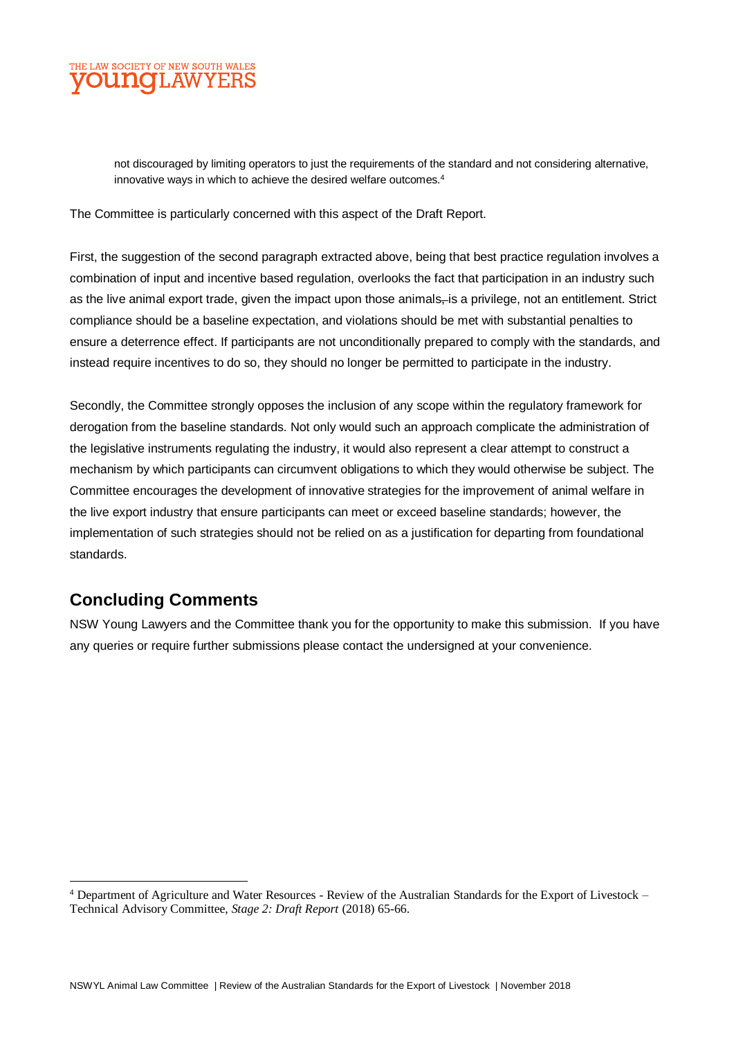

not discouraged by limiting operators to just the requirements of the standard and not considering alternative, innovative ways in which to achieve the desired welfare outcomes.<sup>4</sup>

The Committee is particularly concerned with this aspect of the Draft Report.

First, the suggestion of the second paragraph extracted above, being that best practice regulation involves a combination of input and incentive based regulation, overlooks the fact that participation in an industry such as the live animal export trade, given the impact upon those animals-is a privilege, not an entitlement. Strict compliance should be a baseline expectation, and violations should be met with substantial penalties to ensure a deterrence effect. If participants are not unconditionally prepared to comply with the standards, and instead require incentives to do so, they should no longer be permitted to participate in the industry.

Secondly, the Committee strongly opposes the inclusion of any scope within the regulatory framework for derogation from the baseline standards. Not only would such an approach complicate the administration of the legislative instruments regulating the industry, it would also represent a clear attempt to construct a mechanism by which participants can circumvent obligations to which they would otherwise be subject. The Committee encourages the development of innovative strategies for the improvement of animal welfare in the live export industry that ensure participants can meet or exceed baseline standards; however, the implementation of such strategies should not be relied on as a justification for departing from foundational standards.

#### **Concluding Comments**

 $\overline{a}$ 

NSW Young Lawyers and the Committee thank you for the opportunity to make this submission. If you have any queries or require further submissions please contact the undersigned at your convenience.

<sup>4</sup> Department of Agriculture and Water Resources - Review of the Australian Standards for the Export of Livestock – Technical Advisory Committee, *Stage 2: Draft Report* (2018) 65-66.